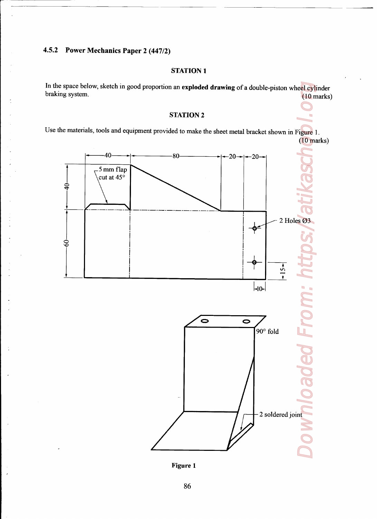# 4.5.2 Power Mechanics Paper 2 (447/2)

### STATION <sup>1</sup>

<u> 1989 - Johann Stein, meil am der Stein am der Stein am der Stein am der Stein am der Stein am der Stein am d</u>

In the space below, sketch in good proportion an exploded drawing of <sup>a</sup> double-piston wheel cylinder braking system. (10 marks)

## STATION <sup>2</sup>

Use the materials, tools and equipment provided to make the sheet metal bracket shown in Figure 1. (10 marks)



Figure l

 $\mathcal{O}(\mathcal{O}_\mathcal{O})$  . The contract of the contract of the contract of the contract of the contract of the contract of the contract of the contract of the contract of the contract of the contract of the contract of the co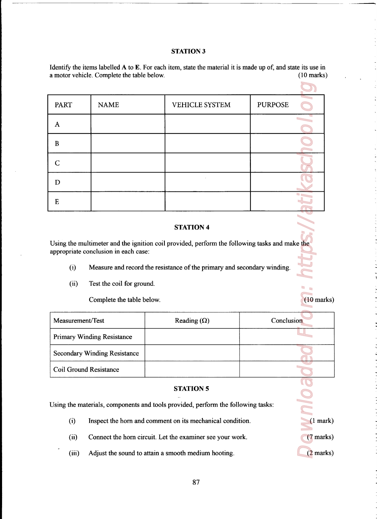### STATION 3

|                               |                                            | <b>STATION 3</b>                                                                                                                              |                |                      |
|-------------------------------|--------------------------------------------|-----------------------------------------------------------------------------------------------------------------------------------------------|----------------|----------------------|
|                               |                                            | Identify the items labelled A to E. For each item, state the material it is made up of, and state its use in                                  |                |                      |
|                               | a motor vehicle. Complete the table below. |                                                                                                                                               |                | $(10 \text{ marks})$ |
| <b>PART</b>                   | <b>NAME</b>                                | <b>VEHICLE SYSTEM</b>                                                                                                                         | <b>PURPOSE</b> |                      |
| A                             |                                            |                                                                                                                                               |                |                      |
| $\bf{B}$                      |                                            |                                                                                                                                               |                |                      |
| C                             |                                            |                                                                                                                                               |                |                      |
| D                             |                                            |                                                                                                                                               |                |                      |
| E                             |                                            |                                                                                                                                               |                |                      |
|                               |                                            |                                                                                                                                               |                |                      |
|                               | appropriate conclusion in each case:       | <b>STATION 4</b><br>Using the multimeter and the ignition coil provided, perform the following tasks and make the                             |                |                      |
| (i)                           |                                            | Measure and record the resistance of the primary and secondary winding.                                                                       |                |                      |
| (ii)                          | Test the coil for ground.                  |                                                                                                                                               |                |                      |
|                               | Complete the table below.                  |                                                                                                                                               |                | $(10 \text{ marks})$ |
| Measurement/Test              |                                            | Reading $(\Omega)$                                                                                                                            | Conclusion     |                      |
|                               | <b>Primary Winding Resistance</b>          |                                                                                                                                               |                |                      |
|                               | <b>Secondary Winding Resistance</b>        |                                                                                                                                               |                |                      |
| <b>Coil Ground Resistance</b> |                                            |                                                                                                                                               |                |                      |
|                               |                                            | <b>STATION 5</b>                                                                                                                              |                |                      |
| (i)                           |                                            | Using the materials, components and tools provided, perform the following tasks:<br>Inspect the horn and comment on its mechanical condition. |                | $(1$ mark)           |
| (ii)                          |                                            | Connect the horn circuit. Let the examiner see your work.                                                                                     |                | $(7$ marks)          |

## STATION <sup>4</sup>

the contract of the contract of the contract of the contract of the contract of

| Measurement/Test                    | Reading $(\Omega)$ | Conclusion |
|-------------------------------------|--------------------|------------|
| <b>Primary Winding Resistance</b>   |                    |            |
| <b>Secondary Winding Resistance</b> |                    |            |
| Coil Ground Resistance              |                    |            |

### STATION 5

- (i) Inspect the horn and comment on its mechanical condition. (1 mark)
- (ii) Connect the horn circuit. Let the examiner see your work. (7 marks)
- (iii) Adjust the sound to attain a smooth medium hooting.  $(2 \text{ marks})$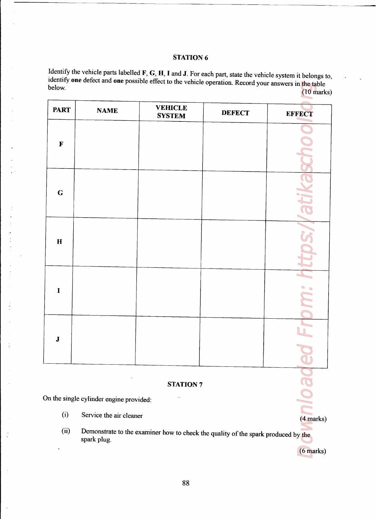# STATION 6

Identify the vehicle parts labelled **F**, **G**, **H**, **I** and **J**. For each part, state the vehicle system it belongs to, identify **one** defect and **one** possible effect to the vehicle operation. Record your answers in the ta **STATION 6**<br> **STATION 6**<br> **Identify the vehicle parts labelled F, G, H, I and J. For each part, state the vehicle system it belongs to<br>
identify one defect and one possible effect to the vehicle operation. Record your ans** peration. Record your answers in the table below. The contraction of the contraction of the contraction of the contraction of the contraction of the control of the control of the control of the control of the control of the control of the control of the control of

|                                       |                                                                    | <b>STATION 6</b>                                                                                                                                                                                                       |               |                                 |
|---------------------------------------|--------------------------------------------------------------------|------------------------------------------------------------------------------------------------------------------------------------------------------------------------------------------------------------------------|---------------|---------------------------------|
| below.                                |                                                                    | Identify the vehicle parts labelled F, G, H, I and J. For each part, state the vehicle system it belongs to,<br>identify one defect and one possible effect to the vehicle operation. Record your answers in the table |               | $(10 \text{ marks})$            |
| <b>PART</b>                           | <b>NAME</b>                                                        | <b>VEHICLE</b><br><b>SYSTEM</b>                                                                                                                                                                                        | <b>DEFECT</b> | <b>EFFECT</b>                   |
| $\mathbf F$                           |                                                                    |                                                                                                                                                                                                                        |               |                                 |
|                                       |                                                                    |                                                                                                                                                                                                                        |               |                                 |
| $\bf G$                               |                                                                    |                                                                                                                                                                                                                        |               |                                 |
|                                       |                                                                    |                                                                                                                                                                                                                        |               |                                 |
|                                       |                                                                    |                                                                                                                                                                                                                        |               |                                 |
|                                       |                                                                    |                                                                                                                                                                                                                        |               | e<br>$\hfill \Box$<br>$\bullet$ |
|                                       |                                                                    |                                                                                                                                                                                                                        |               |                                 |
| $\mathbf H$<br>$\mathbf I$<br>$\bf J$ |                                                                    |                                                                                                                                                                                                                        |               |                                 |
|                                       |                                                                    |                                                                                                                                                                                                                        |               |                                 |
|                                       |                                                                    | <b>STATION 7</b>                                                                                                                                                                                                       |               |                                 |
| (i)                                   | On the single cylinder engine provided:<br>Service the air cleaner |                                                                                                                                                                                                                        |               | $(4$ marks)                     |